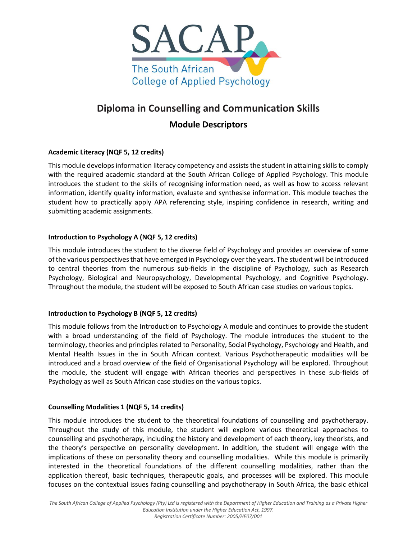

# **Diploma in Counselling and Communication Skills**

## **Module Descriptors**

## **Academic Literacy (NQF 5, 12 credits)**

This module develops information literacy competency and assists the student in attaining skills to comply with the required academic standard at the South African College of Applied Psychology. This module introduces the student to the skills of recognising information need, as well as how to access relevant information, identify quality information, evaluate and synthesise information. This module teaches the student how to practically apply APA referencing style, inspiring confidence in research, writing and submitting academic assignments.

## **Introduction to Psychology A (NQF 5, 12 credits)**

This module introduces the student to the diverse field of Psychology and provides an overview of some of the various perspectives that have emerged in Psychology over the years. The student will be introduced to central theories from the numerous sub-fields in the discipline of Psychology, such as Research Psychology, Biological and Neuropsychology, Developmental Psychology, and Cognitive Psychology. Throughout the module, the student will be exposed to South African case studies on various topics.

## **Introduction to Psychology B (NQF 5, 12 credits)**

This module follows from the Introduction to Psychology A module and continues to provide the student with a broad understanding of the field of Psychology. The module introduces the student to the terminology, theories and principles related to Personality, Social Psychology, Psychology and Health, and Mental Health Issues in the in South African context. Various Psychotherapeutic modalities will be introduced and a broad overview of the field of Organisational Psychology will be explored. Throughout the module, the student will engage with African theories and perspectives in these sub-fields of Psychology as well as South African case studies on the various topics.

## **Counselling Modalities 1 (NQF 5, 14 credits)**

This module introduces the student to the theoretical foundations of counselling and psychotherapy. Throughout the study of this module, the student will explore various theoretical approaches to counselling and psychotherapy, including the history and development of each theory, key theorists, and the theory's perspective on personality development. In addition, the student will engage with the implications of these on personality theory and counselling modalities. While this module is primarily interested in the theoretical foundations of the different counselling modalities, rather than the application thereof, basic techniques, therapeutic goals, and processes will be explored. This module focuses on the contextual issues facing counselling and psychotherapy in South Africa, the basic ethical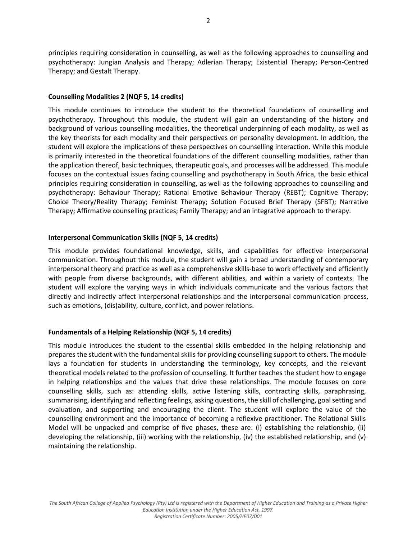principles requiring consideration in counselling, as well as the following approaches to counselling and psychotherapy: Jungian Analysis and Therapy; Adlerian Therapy; Existential Therapy; Person-Centred Therapy; and Gestalt Therapy.

#### **Counselling Modalities 2 (NQF 5, 14 credits)**

This module continues to introduce the student to the theoretical foundations of counselling and psychotherapy. Throughout this module, the student will gain an understanding of the history and background of various counselling modalities, the theoretical underpinning of each modality, as well as the key theorists for each modality and their perspectives on personality development. In addition, the student will explore the implications of these perspectives on counselling interaction. While this module is primarily interested in the theoretical foundations of the different counselling modalities, rather than the application thereof, basic techniques, therapeutic goals, and processes will be addressed. This module focuses on the contextual issues facing counselling and psychotherapy in South Africa, the basic ethical principles requiring consideration in counselling, as well as the following approaches to counselling and psychotherapy: Behaviour Therapy; Rational Emotive Behaviour Therapy (REBT); Cognitive Therapy; Choice Theory/Reality Therapy; Feminist Therapy; Solution Focused Brief Therapy (SFBT); Narrative Therapy; Affirmative counselling practices; Family Therapy; and an integrative approach to therapy.

#### **Interpersonal Communication Skills (NQF 5, 14 credits)**

This module provides foundational knowledge, skills, and capabilities for effective interpersonal communication. Throughout this module, the student will gain a broad understanding of contemporary interpersonal theory and practice as well as a comprehensive skills-base to work effectively and efficiently with people from diverse backgrounds, with different abilities, and within a variety of contexts. The student will explore the varying ways in which individuals communicate and the various factors that directly and indirectly affect interpersonal relationships and the interpersonal communication process, such as emotions, (dis)ability, culture, conflict, and power relations.

#### **Fundamentals of a Helping Relationship (NQF 5, 14 credits)**

This module introduces the student to the essential skills embedded in the helping relationship and prepares the student with the fundamental skills for providing counselling support to others. The module lays a foundation for students in understanding the terminology, key concepts, and the relevant theoretical models related to the profession of counselling. It further teaches the student how to engage in helping relationships and the values that drive these relationships. The module focuses on core counselling skills, such as: attending skills, active listening skills, contracting skills, paraphrasing, summarising, identifying and reflecting feelings, asking questions, the skill of challenging, goal setting and evaluation, and supporting and encouraging the client. The student will explore the value of the counselling environment and the importance of becoming a reflexive practitioner. The Relational Skills Model will be unpacked and comprise of five phases, these are: (i) establishing the relationship, (ii) developing the relationship, (iii) working with the relationship, (iv) the established relationship, and (v) maintaining the relationship.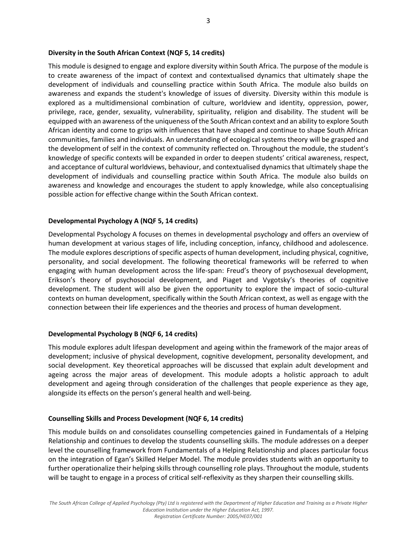#### **Diversity in the South African Context (NQF 5, 14 credits)**

This module is designed to engage and explore diversity within South Africa. The purpose of the module is to create awareness of the impact of context and contextualised dynamics that ultimately shape the development of individuals and counselling practice within South Africa. The module also builds on awareness and expands the student's knowledge of issues of diversity. Diversity within this module is explored as a multidimensional combination of culture, worldview and identity, oppression, power, privilege, race, gender, sexuality, vulnerability, spirituality, religion and disability. The student will be equipped with an awareness of the uniqueness of the South African context and an ability to explore South African identity and come to grips with influences that have shaped and continue to shape South African communities, families and individuals. An understanding of ecological systems theory will be grasped and the development of self in the context of community reflected on. Throughout the module, the student's knowledge of specific contexts will be expanded in order to deepen students' critical awareness, respect, and acceptance of cultural worldviews, behaviour, and contextualised dynamics that ultimately shape the development of individuals and counselling practice within South Africa. The module also builds on awareness and knowledge and encourages the student to apply knowledge, while also conceptualising possible action for effective change within the South African context.

#### **Developmental Psychology A (NQF 5, 14 credits)**

Developmental Psychology A focuses on themes in developmental psychology and offers an overview of human development at various stages of life, including conception, infancy, childhood and adolescence. The module explores descriptions of specific aspects of human development, including physical, cognitive, personality, and social development. The following theoretical frameworks will be referred to when engaging with human development across the life-span: Freud's theory of psychosexual development, Erikson's theory of psychosocial development, and Piaget and Vygotsky's theories of cognitive development. The student will also be given the opportunity to explore the impact of socio-cultural contexts on human development, specifically within the South African context, as well as engage with the connection between their life experiences and the theories and process of human development.

#### **Developmental Psychology B (NQF 6, 14 credits)**

This module explores adult lifespan development and ageing within the framework of the major areas of development; inclusive of physical development, cognitive development, personality development, and social development. Key theoretical approaches will be discussed that explain adult development and ageing across the major areas of development. This module adopts a holistic approach to adult development and ageing through consideration of the challenges that people experience as they age, alongside its effects on the person's general health and well-being.

#### **Counselling Skills and Process Development (NQF 6, 14 credits)**

This module builds on and consolidates counselling competencies gained in Fundamentals of a Helping Relationship and continues to develop the students counselling skills. The module addresses on a deeper level the counselling framework from Fundamentals of a Helping Relationship and places particular focus on the integration of Egan's Skilled Helper Model. The module provides students with an opportunity to further operationalize their helping skills through counselling role plays. Throughout the module, students will be taught to engage in a process of critical self-reflexivity as they sharpen their counselling skills.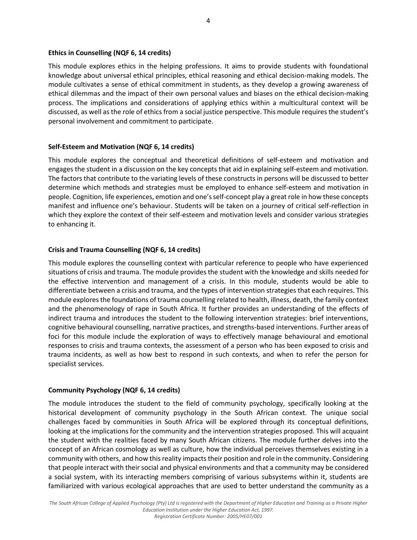#### **Ethics in Counselling (NQF 6, 14 credits)**

This module explores ethics in the helping professions. It aims to provide students with foundational knowledge about universal ethical principles, ethical reasoning and ethical decision-making models. The module cultivates a sense of ethical commitment in students, as they develop a growing awareness of ethical dilemmas and the impact of their own personal values and biases on the ethical decision-making process. The implications and considerations of applying ethics within a multicultural context will be discussed, as well as the role of ethics from a social justice perspective. This module requires the student's personal involvement and commitment to participate.

#### **Self-Esteem and Motivation (NQF 6, 14 credits)**

This module explores the conceptual and theoretical definitions of self-esteem and motivation and engages the student in a discussion on the key concepts that aid in explaining self-esteem and motivation. The factors that contribute to the variating levels of these constructs in persons will be discussed to better determine which methods and strategies must be employed to enhance self-esteem and motivation in people. Cognition, life experiences, emotion and one's self-concept play a great role in how these concepts manifest and influence one's behaviour. Students will be taken on a journey of critical self-reflection in which they explore the context of their self-esteem and motivation levels and consider various strategies to enhancing it.

#### **Crisis and Trauma Counselling (NQF 6, 14 credits)**

This module explores the counselling context with particular reference to people who have experienced situations of crisis and trauma. The module provides the student with the knowledge and skills needed for the effective intervention and management of a crisis. In this module, students would be able to differentiate between a crisis and trauma, and the types of intervention strategies that each requires. This module explores the foundations of trauma counselling related to health, illness, death, the family context and the phenomenology of rape in South Africa. It further provides an understanding of the effects of indirect trauma and introduces the student to the following intervention strategies: brief interventions, cognitive behavioural counselling, narrative practices, and strengths-based interventions. Further areas of foci for this module include the exploration of ways to effectively manage behavioural and emotional responses to crisis and trauma contexts, the assessment of a person who has been exposed to crisis and trauma incidents, as well as how best to respond in such contexts, and when to refer the person for specialist services.

#### **Community Psychology (NQF 6, 14 credits)**

The module introduces the student to the field of community psychology, specifically looking at the historical development of community psychology in the South African context. The unique social challenges faced by communities in South Africa will be explored through its conceptual definitions, looking at the implications for the community and the intervention strategies proposed. This will acquaint the student with the realities faced by many South African citizens. The module further delves into the concept of an African cosmology as well as culture, how the individual perceives themselves existing in a community with others, and how this reality impacts their position and role in the community. Considering that people interact with their social and physical environments and that a community may be considered a social system, with its interacting members comprising of various subsystems within it, students are familiarized with various ecological approaches that are used to better understand the community as a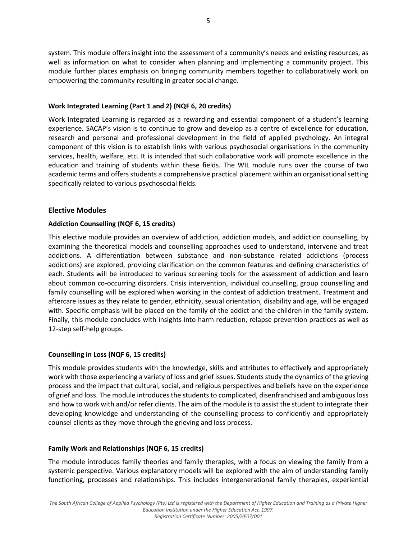system. This module offers insight into the assessment of a community's needs and existing resources, as well as information on what to consider when planning and implementing a community project. This module further places emphasis on bringing community members together to collaboratively work on empowering the community resulting in greater social change.

## **Work Integrated Learning (Part 1 and 2) (NQF 6, 20 credits)**

Work Integrated Learning is regarded as a rewarding and essential component of a student's learning experience. SACAP's vision is to continue to grow and develop as a centre of excellence for education, research and personal and professional development in the field of applied psychology. An integral component of this vision is to establish links with various psychosocial organisations in the community services, health, welfare, etc. It is intended that such collaborative work will promote excellence in the education and training of students within these fields. The WIL module runs over the course of two academic terms and offers students a comprehensive practical placement within an organisational setting specifically related to various psychosocial fields.

## **Elective Modules**

## **Addiction Counselling (NQF 6, 15 credits)**

This elective module provides an overview of addiction, addiction models, and addiction counselling, by examining the theoretical models and counselling approaches used to understand, intervene and treat addictions. A differentiation between substance and non-substance related addictions (process addictions) are explored, providing clarification on the common features and defining characteristics of each. Students will be introduced to various screening tools for the assessment of addiction and learn about common co-occurring disorders. Crisis intervention, individual counselling, group counselling and family counselling will be explored when working in the context of addiction treatment. Treatment and aftercare issues as they relate to gender, ethnicity, sexual orientation, disability and age, will be engaged with. Specific emphasis will be placed on the family of the addict and the children in the family system. Finally, this module concludes with insights into harm reduction, relapse prevention practices as well as 12-step self-help groups.

#### **Counselling in Loss (NQF 6, 15 credits)**

This module provides students with the knowledge, skills and attributes to effectively and appropriately work with those experiencing a variety of loss and grief issues. Students study the dynamics of the grieving process and the impact that cultural, social, and religious perspectives and beliefs have on the experience of grief and loss. The module introduces the students to complicated, disenfranchised and ambiguous loss and how to work with and/or refer clients. The aim of the module is to assist the student to integrate their developing knowledge and understanding of the counselling process to confidently and appropriately counsel clients as they move through the grieving and loss process.

## **Family Work and Relationships (NQF 6, 15 credits)**

The module introduces family theories and family therapies, with a focus on viewing the family from a systemic perspective. Various explanatory models will be explored with the aim of understanding family functioning, processes and relationships. This includes intergenerational family therapies, experiential